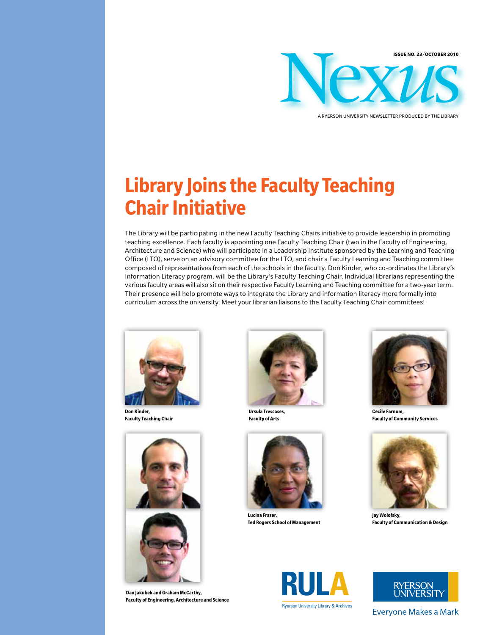

#### A ryerson University Newsletter Produced by the Library

# **Library Joins the Faculty Teaching Chair Initiative**

The Library will be participating in the new Faculty Teaching Chairs initiative to provide leadership in promoting teaching excellence. Each faculty is appointing one Faculty Teaching Chair (two in the Faculty of Engineering, Architecture and Science) who will participate in a Leadership Institute sponsored by the Learning and Teaching Office (LTO), serve on an advisory committee for the LTO, and chair a Faculty Learning and Teaching committee composed of representatives from each of the schools in the faculty. Don Kinder, who co-ordinates the Library's Information Literacy program, will be the Library's Faculty Teaching Chair. Individual librarians representing the various faculty areas will also sit on their respective Faculty Learning and Teaching committee for a two-year term. Their presence will help promote ways to integrate the Library and information literacy more formally into curriculum across the university. Meet your librarian liaisons to the Faculty Teaching Chair committees!



**Don Kinder, Faculty Teaching Chair**



**Dan Jakubek and Graham McCarthy, Faculty of Engineering, Architecture and Science**



**Ursula Trescases, Faculty of Arts**



**Lucina Fraser, Ted Rogers School of Management**



**Cecile Farnum, Faculty of Community Services**



**Jay Wolofsky, Faculty of Communication & Design**





Everyone Makes a Mark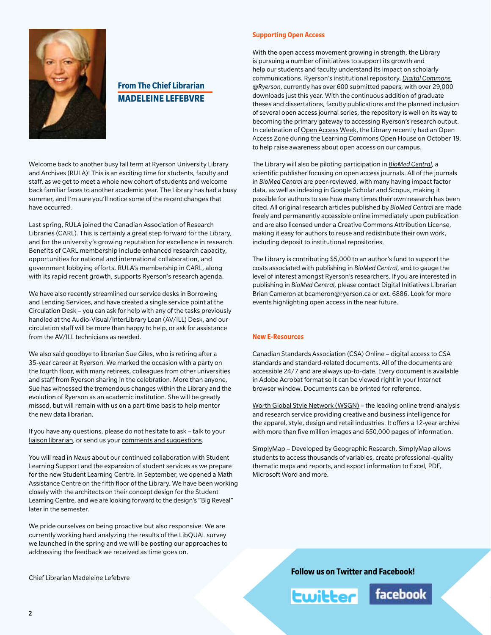

# **From The Chief Librarian Madeleine Lefebvre**

Welcome back to another busy fall term at Ryerson University Library and Archives (RULA)! This is an exciting time for students, faculty and staff, as we get to meet a whole new cohort of students and welcome back familiar faces to another academic year. The Library has had a busy summer, and I'm sure you'll notice some of the recent changes that have occurred.

Last spring, RULA joined the Canadian Association of Research Libraries (CARL). This is certainly a great step forward for the Library, and for the university's growing reputation for excellence in research. Benefits of CARL membership include enhanced research capacity, opportunities for national and international collaboration, and government lobbying efforts. RULA's membership in CARL, along with its rapid recent growth, supports Ryerson's research agenda.

We have also recently streamlined our service desks in Borrowing and Lending Services, and have created a single service point at the Circulation Desk – you can ask for help with any of the tasks previously handled at the Audio-Visual/InterLibrary Loan (AV/ILL) Desk, and our circulation staff will be more than happy to help, or ask for assistance from the AV/ILL technicians as needed.

We also said goodbye to librarian Sue Giles, who is retiring after a 35-year career at Ryerson. We marked the occasion with a party on the fourth floor, with many retirees, colleagues from other universities and staff from Ryerson sharing in the celebration. More than anyone, Sue has witnessed the tremendous changes within the Library and the evolution of Ryerson as an academic institution. She will be greatly missed, but will remain with us on a part-time basis to help mentor the new data librarian.

If you have any questions, please do not hesitate to ask – talk to your [liaison librarian,](http://www.ryerson.ca/library/info/sublib.html) or send us your [comments and suggestions.](https://www.runner.ryerson.ca/library/forms/suggestion/)

You will read in *Nexus* about our continued collaboration with Student Learning Support and the expansion of student services as we prepare for the new Student Learning Centre. In September, we opened a Math Assistance Centre on the fifth floor of the Library. We have been working closely with the architects on their concept design for the Student Learning Centre, and we are looking forward to the design's "Big Reveal" later in the semester.

We pride ourselves on being proactive but also responsive. We are currently working hard analyzing the results of the LibQUAL survey we launched in the spring and we will be posting our approaches to addressing the feedback we received as time goes on.

Chief Librarian Madeleine Lefebvre

#### **Supporting Open Access**

With the open access movement growing in strength, the Library is pursuing a number of initiatives to support its growth and help our students and faculty understand its impact on scholarly communications. Ryerson's institutional repository, *[Digital Commons](http://digitalcommons.ryerson.ca/)  [@Ryerson](http://digitalcommons.ryerson.ca/)*, currently has over 600 submitted papers, with over 29,000 downloads just this year. With the continuous addition of graduate theses and dissertations, faculty publications and the planned inclusion of several open access journal series, the repository is well on its way to becoming the primary gateway to accessing Ryerson's research output. In celebration of [Open Access Week,](http://www.openaccessweek.org/) the Library recently had an Open Access Zone during the Learning Commons Open House on October 19, to help raise awareness about open access on our campus.

The Library will also be piloting participation in *[BioMed Central](http://www.biomedcentral.com/)*, a scientific publisher focusing on open access journals. All of the journals in *BioMed Central* are peer-reviewed, with many having impact factor data, as well as indexing in Google Scholar and Scopus, making it possible for authors to see how many times their own research has been cited. All original research articles published by *BioMed Central* are made freely and permanently accessible online immediately upon publication and are also licensed under a Creative Commons Attribution License, making it easy for authors to reuse and redistribute their own work, including deposit to institutional repositories.

The Library is contributing \$5,000 to an author's fund to support the costs associated with publishing in *BioMed Central*, and to gauge the level of interest amongst Ryerson's researchers. If you are interested in publishing in *BioMed Central*, please contact Digital Initiatives Librarian Brian Cameron at [bcameron@ryerson.ca](mailto:mailto:bcameron%40ryerson.ca?subject=) or ext. 6886. Look for more events highlighting open access in the near future.

### **New E-Resources**

[Canadian Standards Association \(CSA\) Online](http://ezproxy.lib.ryerson.ca/login?url=http://subscribe.csa.ca/) – digital access to CSA standards and standard-related documents. All of the documents are accessible 24/7 and are always up-to-date. Every document is available in Adobe Acrobat format so it can be viewed right in your Internet browser window. Documents can be printed for reference.

[Worth Global Style Network \(WSGN\)](http://ezproxy.lib.ryerson.ca/login?url=http://www.wgsn.com/content/section/home.html) – the leading online trend-analysis and research service providing creative and business intelligence for the apparel, style, design and retail industries. It offers a 12-year archive with more than five million images and 650,000 pages of information.

[SimplyMap](http://www.ryerson.ca/madar/new/) – Developed by Geographic Research, SimplyMap allows students to access thousands of variables, create professional-quality thematic maps and reports, and export information to Excel, PDF, Microsoft Word and more.

**Follow us on [Twitter](http://twitter.com/ryersonlibrary) and [Facebook!](http://www.facebook.com/pages/Toronto-ON/Ryerson-University-Library/5863804371?ref=mf)**



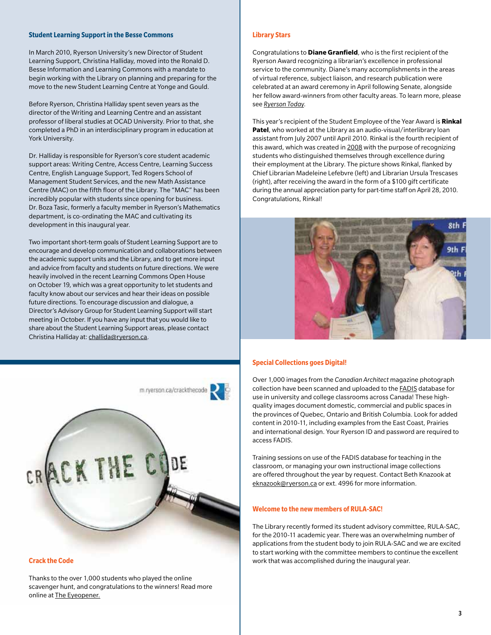#### **Student Learning Support in the Besse Commons**

In March 2010, Ryerson University's new Director of Student Learning Support, Christina Halliday, moved into the Ronald D. Besse Information and Learning Commons with a mandate to begin working with the Library on planning and preparing for the move to the new Student Learning Centre at Yonge and Gould.

Before Ryerson, Christina Halliday spent seven years as the director of the Writing and Learning Centre and an assistant professor of liberal studies at OCAD University. Prior to that, she completed a PhD in an interdisciplinary program in education at York University.

Dr. Halliday is responsible for Ryerson's core student academic support areas: Writing Centre, Access Centre, Learning Success Centre, English Language Support, Ted Rogers School of Management Student Services, and the new Math Assistance Centre (MAC) on the fifth floor of the Library. The "MAC" has been incredibly popular with students since opening for business. Dr. Boza Tasic, formerly a faculty member in Ryerson's Mathematics department, is co-ordinating the MAC and cultivating its development in this inaugural year.

Two important short-term goals of Student Learning Support are to encourage and develop communication and collaborations between the academic support units and the Library, and to get more input and advice from faculty and students on future directions. We were heavily involved in the recent Learning Commons Open House on October 19, which was a great opportunity to let students and faculty know about our services and hear their ideas on possible future directions. To encourage discussion and dialogue, a Director's Advisory Group for Student Learning Support will start meeting in October. If you have any input that you would like to share about the Student Learning Support areas, please contact Christina Halliday at: [challida@ryerson.ca.](mailto:mailto:challida%40ryerson.ca?subject=)



Thanks to the over 1,000 students who played the online scavenger hunt, and congratulations to the winners! Read more online at [The Eyeopener.](http://theeyeopener.com/2010/09/cracking-ryerson%E2%80%99s-mobile-crowd/)

#### **Library Stars**

Congratulations to **Diane Granfield**, who is the first recipient of the Ryerson Award recognizing a librarian's excellence in professional service to the community. Diane's many accomplishments in the areas of virtual reference, subject liaison, and research publication were celebrated at an award ceremony in April following Senate, alongside her fellow award-winners from other faculty areas. To learn more, please see *[Ryerson Today](http://www.ryerson.ca/ryersontoday/stories/20100426_awards.html)*.

This year's recipient of the Student Employee of the Year Award is **Rinkal Patel**, who worked at the Library as an audio-visual/interlibrary loan assistant from July 2007 until April 2010. Rinkal is the fourth recipient of this award, which was created in [2008](http://www.ryerson.ca/library/info/pr/25apr2008.html) with the purpose of recognizing students who distinguished themselves through excellence during their employment at the Library. The picture shows Rinkal, flanked by Chief Librarian Madeleine Lefebvre (left) and Librarian Ursula Trescases (right), after receiving the award in the form of a \$100 gift certificate during the annual appreciation party for part-time staff on April 28, 2010. Congratulations, Rinkal!



#### **Special Collections goes Digital!**

Over 1,000 images from the *Canadian Architect* magazine photograph collection have been scanned and uploaded to the [FADIS](http://fadis.library.utoronto.ca/) database for use in university and college classrooms across Canada! These highquality images document domestic, commercial and public spaces in the provinces of Quebec, Ontario and British Columbia. Look for added content in 2010-11, including examples from the East Coast, Prairies and international design. Your Ryerson ID and password are required to access FADIS.

Training sessions on use of the FADIS database for teaching in the classroom, or managing your own instructional image collections are offered throughout the year by request. Contact Beth Knazook at [eknazook@ryerson.ca](mailto:mailto:eknazook%40ryerson.ca?subject=) or ext. 4996 for more information.

#### **Welcome to the new members of RULA-SAC!**

The Library recently formed its student advisory committee, RULA-SAC, for the 2010-11 academic year. There was an overwhelming number of applications from the student body to join RULA-SAC and we are excited to start working with the committee members to continue the excellent **Crack the Code Code Crack the Code work that was accomplished during the inaugural year.**